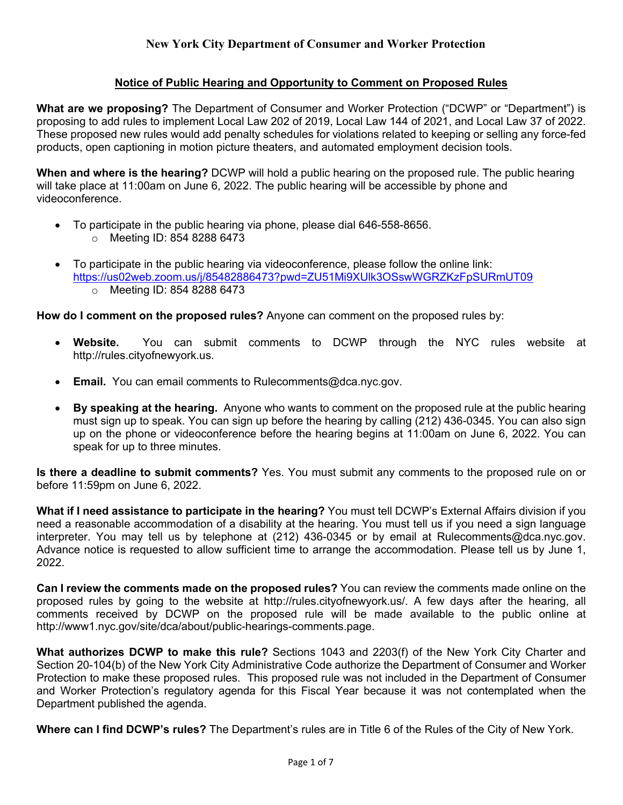## **Notice of Public Hearing and Opportunity to Comment on Proposed Rules**

**What are we proposing?** The Department of Consumer and Worker Protection ("DCWP" or "Department") is proposing to add rules to implement Local Law 202 of 2019, Local Law 144 of 2021, and Local Law 37 of 2022. These proposed new rules would add penalty schedules for violations related to keeping or selling any force-fed products, open captioning in motion picture theaters, and automated employment decision tools.

**When and where is the hearing?** DCWP will hold a public hearing on the proposed rule. The public hearing will take place at 11:00am on June 6, 2022. The public hearing will be accessible by phone and videoconference.

- To participate in the public hearing via phone, please dial 646-558-8656.
	- o Meeting ID: 854 8288 6473
- To participate in the public hearing via videoconference, please follow the online link: <https://us02web.zoom.us/j/85482886473?pwd=ZU51Mi9XUlk3OSswWGRZKzFpSURmUT09> o Meeting ID: 854 8288 6473

**How do I comment on the proposed rules?** Anyone can comment on the proposed rules by:

- **Website.** You can submit comments to DCWP through the NYC rules website at http://rules.cityofnewyork.us.
- **Email.** You can email comments to Rulecomments@dca.nyc.gov.
- **By speaking at the hearing.** Anyone who wants to comment on the proposed rule at the public hearing must sign up to speak. You can sign up before the hearing by calling (212) 436-0345. You can also sign up on the phone or videoconference before the hearing begins at 11:00am on June 6, 2022. You can speak for up to three minutes.

**Is there a deadline to submit comments?** Yes. You must submit any comments to the proposed rule on or before 11:59pm on June 6, 2022.

**What if I need assistance to participate in the hearing?** You must tell DCWP's External Affairs division if you need a reasonable accommodation of a disability at the hearing. You must tell us if you need a sign language interpreter. You may tell us by telephone at (212) 436-0345 or by email at Rulecomments@dca.nyc.gov. Advance notice is requested to allow sufficient time to arrange the accommodation. Please tell us by June 1, 2022.

**Can I review the comments made on the proposed rules?** You can review the comments made online on the proposed rules by going to the website at http://rules.cityofnewyork.us/. A few days after the hearing, all comments received by DCWP on the proposed rule will be made available to the public online at http://www1.nyc.gov/site/dca/about/public-hearings-comments.page.

**What authorizes DCWP to make this rule?** Sections 1043 and 2203(f) of the New York City Charter and Section 20-104(b) of the New York City Administrative Code authorize the Department of Consumer and Worker Protection to make these proposed rules. This proposed rule was not included in the Department of Consumer and Worker Protection's regulatory agenda for this Fiscal Year because it was not contemplated when the Department published the agenda.

**Where can I find DCWP's rules?** The Department's rules are in Title 6 of the Rules of the City of New York.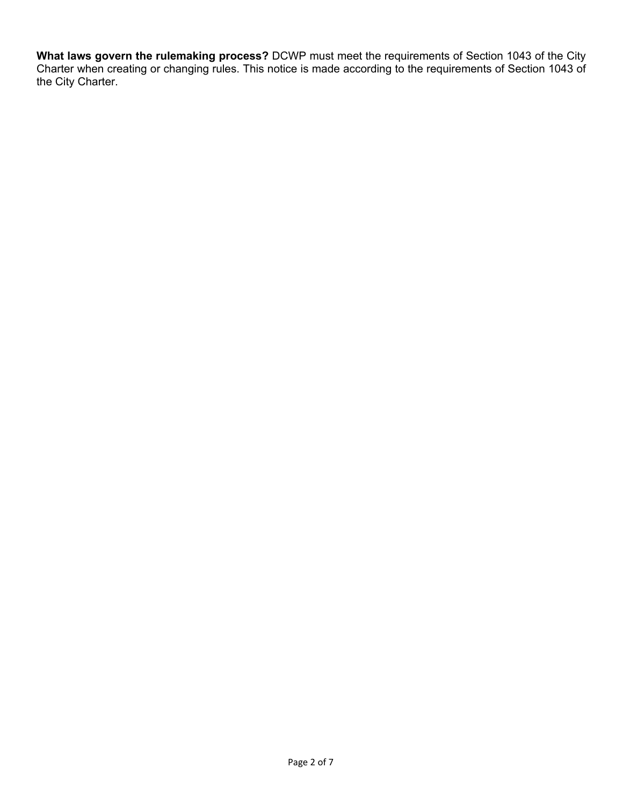**What laws govern the rulemaking process?** DCWP must meet the requirements of Section 1043 of the City Charter when creating or changing rules. This notice is made according to the requirements of Section 1043 of the City Charter.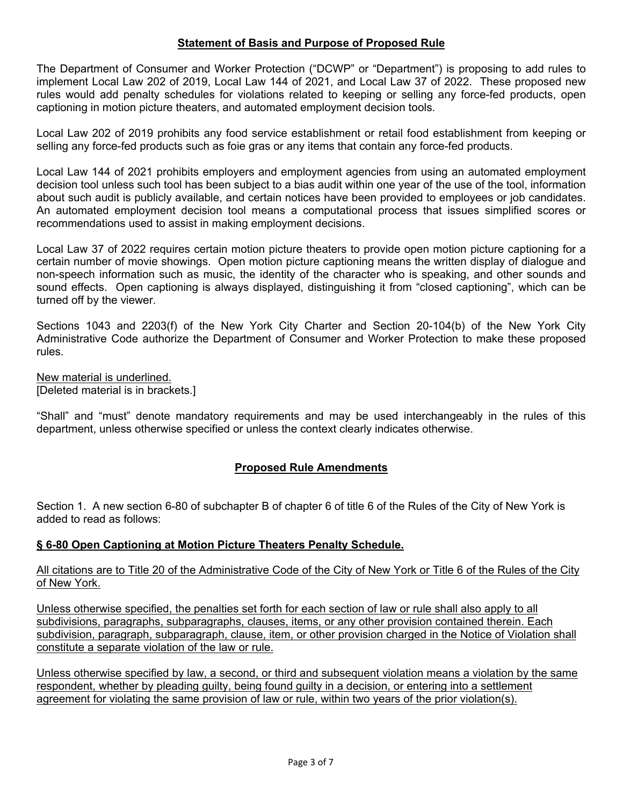## **Statement of Basis and Purpose of Proposed Rule**

The Department of Consumer and Worker Protection ("DCWP" or "Department") is proposing to add rules to implement Local Law 202 of 2019, Local Law 144 of 2021, and Local Law 37 of 2022. These proposed new rules would add penalty schedules for violations related to keeping or selling any force-fed products, open captioning in motion picture theaters, and automated employment decision tools.

Local Law 202 of 2019 prohibits any food service establishment or retail food establishment from keeping or selling any force-fed products such as foie gras or any items that contain any force-fed products.

Local Law 144 of 2021 prohibits employers and employment agencies from using an automated employment decision tool unless such tool has been subject to a bias audit within one year of the use of the tool, information about such audit is publicly available, and certain notices have been provided to employees or job candidates. An automated employment decision tool means a computational process that issues simplified scores or recommendations used to assist in making employment decisions.

Local Law 37 of 2022 requires certain motion picture theaters to provide open motion picture captioning for a certain number of movie showings. Open motion picture captioning means the written display of dialogue and non-speech information such as music, the identity of the character who is speaking, and other sounds and sound effects. Open captioning is always displayed, distinguishing it from "closed captioning", which can be turned off by the viewer.

Sections 1043 and 2203(f) of the New York City Charter and Section 20-104(b) of the New York City Administrative Code authorize the Department of Consumer and Worker Protection to make these proposed rules.

New material is underlined. [Deleted material is in brackets.]

"Shall" and "must" denote mandatory requirements and may be used interchangeably in the rules of this department, unless otherwise specified or unless the context clearly indicates otherwise.

## **Proposed Rule Amendments**

Section 1. A new section 6-80 of subchapter B of chapter 6 of title 6 of the Rules of the City of New York is added to read as follows:

## **§ 6-80 Open Captioning at Motion Picture Theaters Penalty Schedule.**

## All citations are to Title 20 of the Administrative Code of the City of New York or Title 6 of the Rules of the City of New York.

Unless otherwise specified, the penalties set forth for each section of law or rule shall also apply to all subdivisions, paragraphs, subparagraphs, clauses, items, or any other provision contained therein. Each subdivision, paragraph, subparagraph, clause, item, or other provision charged in the Notice of Violation shall constitute a separate violation of the law or rule.

Unless otherwise specified by law, a second, or third and subsequent violation means a violation by the same respondent, whether by pleading guilty, being found guilty in a decision, or entering into a settlement agreement for violating the same provision of law or rule, within two years of the prior violation(s).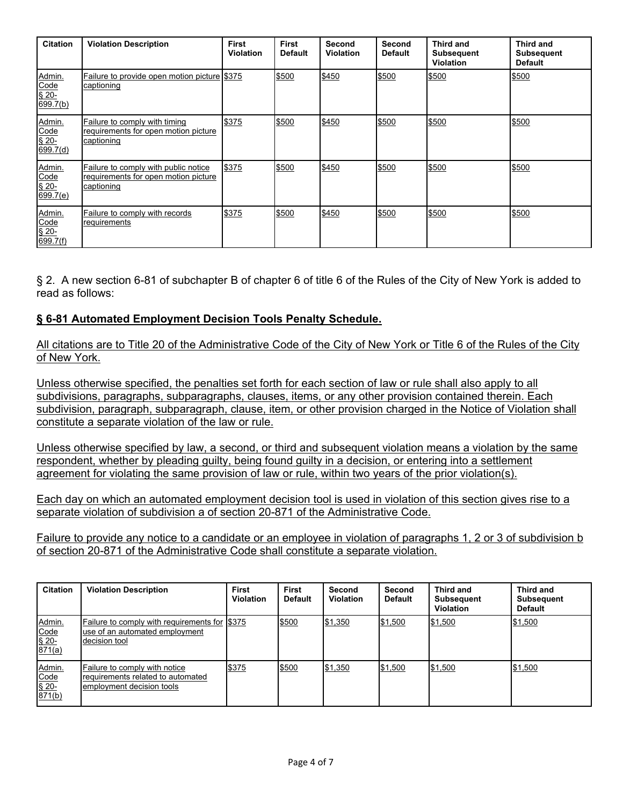| <b>Citation</b>                                  | <b>Violation Description</b>                                                               | <b>First</b><br><b>Violation</b> | <b>First</b><br><b>Default</b> | Second<br><b>Violation</b> | Second<br><b>Default</b> | Third and<br><b>Subsequent</b><br><b>Violation</b> | Third and<br>Subsequent<br><b>Default</b> |
|--------------------------------------------------|--------------------------------------------------------------------------------------------|----------------------------------|--------------------------------|----------------------------|--------------------------|----------------------------------------------------|-------------------------------------------|
| Admin.<br>Code<br>$$20-$<br>699.7(b)             | Failure to provide open motion picture \$375<br>captioning                                 |                                  | \$500                          | \$450                      | \$500                    | \$500                                              | \$500                                     |
| Admin.<br>Code<br>$\overline{$}$ 20-<br>699.7(d) | Failure to comply with timing<br>requirements for open motion picture<br>captioning        | \$375                            | \$500                          | \$450                      | \$500                    | \$500                                              | \$500                                     |
| Admin.<br>Code<br>$$20-$<br>699.7(e)             | Failure to comply with public notice<br>requirements for open motion picture<br>captioning | \$375                            | \$500                          | \$450                      | \$500                    | \$500                                              | \$500                                     |
| Admin.<br>Code<br>$$20-$<br>699.7(f)             | Failure to comply with records<br>requirements                                             | \$375                            | \$500                          | \$450                      | \$500                    | \$500                                              | \$500                                     |

§ 2. A new section 6-81 of subchapter B of chapter 6 of title 6 of the Rules of the City of New York is added to read as follows:

## **§ 6-81 Automated Employment Decision Tools Penalty Schedule.**

All citations are to Title 20 of the Administrative Code of the City of New York or Title 6 of the Rules of the City of New York.

Unless otherwise specified, the penalties set forth for each section of law or rule shall also apply to all subdivisions, paragraphs, subparagraphs, clauses, items, or any other provision contained therein. Each subdivision, paragraph, subparagraph, clause, item, or other provision charged in the Notice of Violation shall constitute a separate violation of the law or rule.

Unless otherwise specified by law, a second, or third and subsequent violation means a violation by the same respondent, whether by pleading guilty, being found guilty in a decision, or entering into a settlement agreement for violating the same provision of law or rule, within two years of the prior violation(s).

Each day on which an automated employment decision tool is used in violation of this section gives rise to a separate violation of subdivision a of section 20-871 of the Administrative Code.

Failure to provide any notice to a candidate or an employee in violation of paragraphs 1, 2 or 3 of subdivision b of section 20-871 of the Administrative Code shall constitute a separate violation.

| <b>Citation</b>                                   | <b>Violation Description</b>                                                                        | <b>First</b><br><b>Violation</b> | First<br><b>Default</b> | Second<br><b>Violation</b> | <b>Second</b><br><b>Default</b> | Third and<br><b>Subsequent</b><br><b>Violation</b> | Third and<br><b>Subsequent</b><br><b>Default</b> |
|---------------------------------------------------|-----------------------------------------------------------------------------------------------------|----------------------------------|-------------------------|----------------------------|---------------------------------|----------------------------------------------------|--------------------------------------------------|
| Admin.<br>$\frac{\text{Code}}{\$ 20 - \$ 871(a)}$ | Failure to comply with requirements for 1\$375<br>luse of an automated employment<br>Idecision tool |                                  | \$500                   | <b>S1.350</b>              | \$1,500                         | \$1,500                                            | \$1,500                                          |
| Admin.<br>Code<br>\$20-<br>871(b)                 | Failure to comply with notice<br>Irequirements related to automated<br>employment decision tools    | \$375                            | \$500                   | \$1,350                    | \$1,500                         | \$1,500                                            | \$1,500                                          |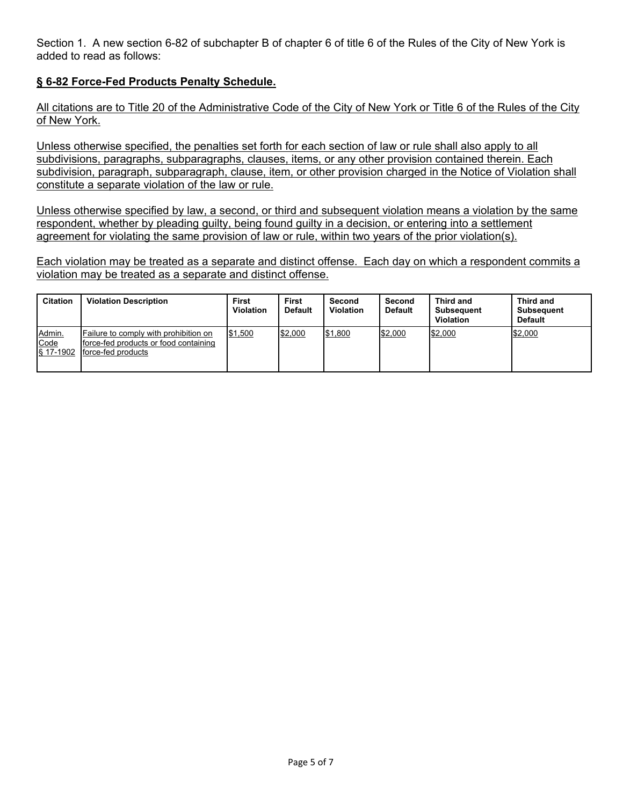Section 1. A new section 6-82 of subchapter B of chapter 6 of title 6 of the Rules of the City of New York is added to read as follows:

# **§ 6-82 Force-Fed Products Penalty Schedule.**

All citations are to Title 20 of the Administrative Code of the City of New York or Title 6 of the Rules of the City of New York.

Unless otherwise specified, the penalties set forth for each section of law or rule shall also apply to all subdivisions, paragraphs, subparagraphs, clauses, items, or any other provision contained therein. Each subdivision, paragraph, subparagraph, clause, item, or other provision charged in the Notice of Violation shall constitute a separate violation of the law or rule.

Unless otherwise specified by law, a second, or third and subsequent violation means a violation by the same respondent, whether by pleading guilty, being found guilty in a decision, or entering into a settlement agreement for violating the same provision of law or rule, within two years of the prior violation(s).

Each violation may be treated as a separate and distinct offense. Each day on which a respondent commits a violation may be treated as a separate and distinct offense.

| <b>Citation</b>             | <b>Violation Description</b>                                                                          | <b>First</b><br><b>Violation</b> | <b>First</b><br><b>Default</b> | Second<br><b>Violation</b> | Second<br><b>Default</b> | Third and<br><b>Subsequent</b><br><b>Violation</b> | Third and<br><b>Subsequent</b><br><b>Default</b> |
|-----------------------------|-------------------------------------------------------------------------------------------------------|----------------------------------|--------------------------------|----------------------------|--------------------------|----------------------------------------------------|--------------------------------------------------|
| Admin.<br>Code<br>§ 17-1902 | Failure to comply with prohibition on<br>force-fed products or food containing<br>Iforce-fed products | \$1,500                          | \$2,000                        | \$1,800                    | \$2,000                  | \$2,000                                            | \$2,000                                          |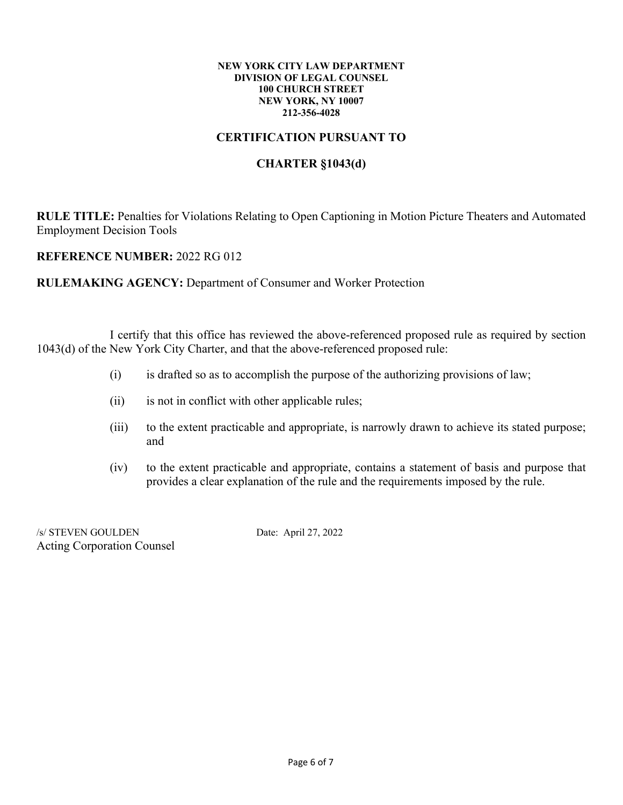#### **NEW YORK CITY LAW DEPARTMENT DIVISION OF LEGAL COUNSEL 100 CHURCH STREET NEW YORK, NY 10007 212-356-4028**

# **CERTIFICATION PURSUANT TO**

# **CHARTER §1043(d)**

**RULE TITLE:** Penalties for Violations Relating to Open Captioning in Motion Picture Theaters and Automated Employment Decision Tools

**REFERENCE NUMBER:** 2022 RG 012

**RULEMAKING AGENCY:** Department of Consumer and Worker Protection

I certify that this office has reviewed the above-referenced proposed rule as required by section 1043(d) of the New York City Charter, and that the above-referenced proposed rule:

- (i) is drafted so as to accomplish the purpose of the authorizing provisions of law;
- (ii) is not in conflict with other applicable rules;
- (iii) to the extent practicable and appropriate, is narrowly drawn to achieve its stated purpose; and
- (iv) to the extent practicable and appropriate, contains a statement of basis and purpose that provides a clear explanation of the rule and the requirements imposed by the rule.

/s/ STEVEN GOULDEN Date: April 27, 2022 Acting Corporation Counsel